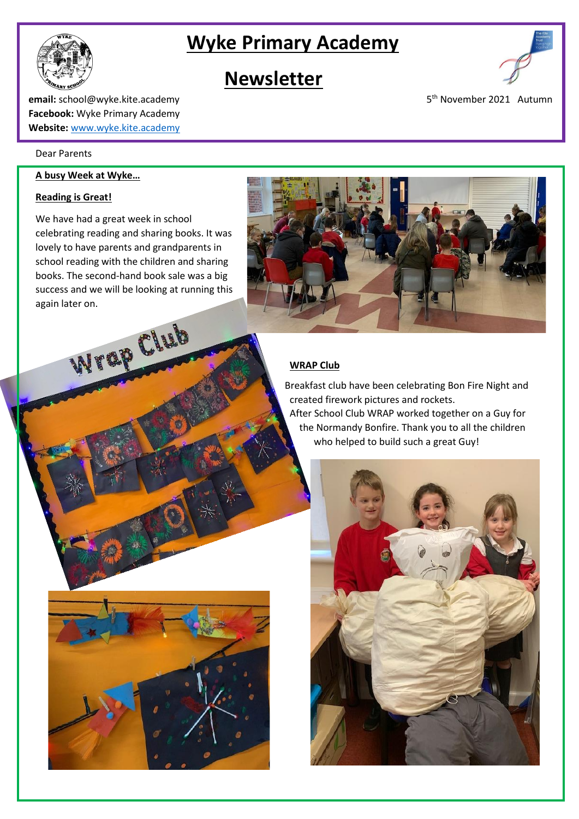## **Wyke Primary Academy**



## **Newsletter**



5<sup>th</sup> November 2021 Autumn

**email:** school@wyke.kite.academy 5 **Facebook:** Wyke Primary Academy **Website:** [www.wyke.kite.academy](http://www.wyke.kite.academy/)

#### Dear Parents

i

#### **A busy Week at Wyke…**

#### **Reading is Great!**

We have had a great week in school celebrating reading and sharing books. It was lovely to have parents and grandparents in school reading with the children and sharing books. The second-hand book sale was a big success and we will be looking at running this again later on.



 Breakfast club have been celebrating Bon Fire Night and created firework pictures and rockets.

 After School Club WRAP worked together on a Guy for the Normandy Bonfire. Thank you to all the children who helped to build such a great Guy!



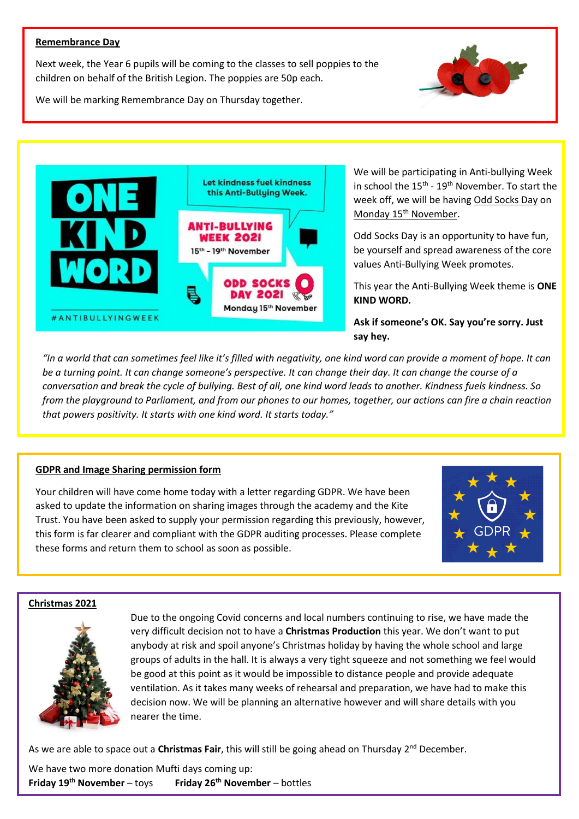#### **Remembrance Day**

Next week, the Year 6 pupils will be coming to the classes to sell poppies to the children on behalf of the British Legion. The poppies are 50p each.



We will be marking Remembrance Day on Thursday together.



We will be participating in Anti-bullying Week in school the  $15^{th}$  -  $19^{th}$  November. To start the week off, we will be having Odd Socks Day on Monday 15<sup>th</sup> November.

Odd Socks Day is an opportunity to have fun, be yourself and spread awareness of the core values Anti-Bullying Week promotes.

This year the Anti-Bullying Week theme is **ONE KIND WORD.** 

**Ask if someone's OK. Say you're sorry. Just say hey.**

*"In a world that can sometimes feel like it's filled with negativity, one kind word can provide a moment of hope. It can be a turning point. It can change someone's perspective. It can change their day. It can change the course of a conversation and break the cycle of bullying. Best of all, one kind word leads to another. Kindness fuels kindness. So from the playground to Parliament, and from our phones to our homes, together, our actions can fire a chain reaction that powers positivity. It starts with one kind word. It starts today."*

#### **GDPR and Image Sharing permission form**

Your children will have come home today with a letter regarding GDPR. We have been asked to update the information on sharing images through the academy and the Kite Trust. You have been asked to supply your permission regarding this previously, however, this form is far clearer and compliant with the GDPR auditing processes. Please complete these forms and return them to school as soon as possible.



#### **Christmas 2021**



Due to the ongoing Covid concerns and local numbers continuing to rise, we have made the very difficult decision not to have a **Christmas Production** this year. We don't want to put anybody at risk and spoil anyone's Christmas holiday by having the whole school and large groups of adults in the hall. It is always a very tight squeeze and not something we feel would be good at this point as it would be impossible to distance people and provide adequate ventilation. As it takes many weeks of rehearsal and preparation, we have had to make this decision now. We will be planning an alternative however and will share details with you nearer the time.

As we are able to space out a **Christmas Fair**, this will still be going ahead on Thursday 2<sup>nd</sup> December.

We have two more donation Mufti days coming up: **Friday 19th November** – toys **Friday 26th November** – bottles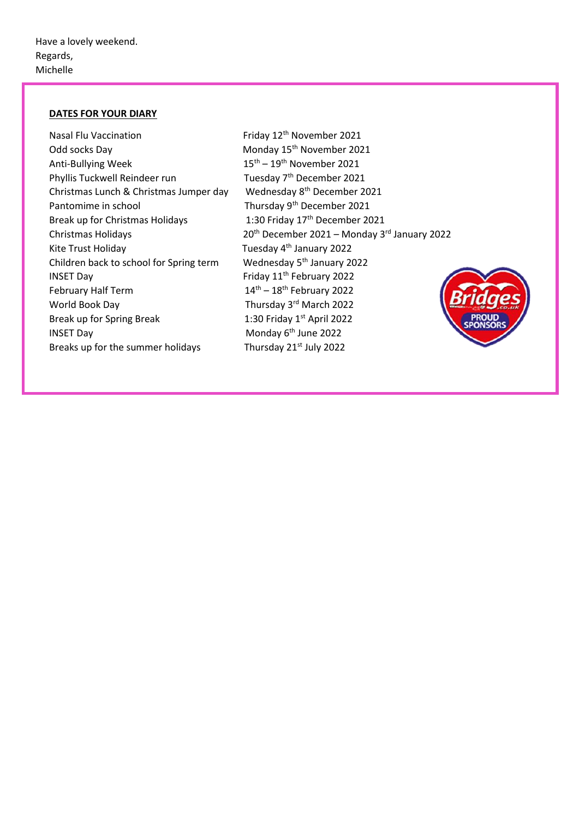### **DATES FOR YOUR DIARY**

| Friday 12 <sup>th</sup> November 2021                    |
|----------------------------------------------------------|
| Monday 15 <sup>th</sup> November 2021                    |
| $15^{\text{th}} - 19^{\text{th}}$ November 2021          |
| Tuesday 7 <sup>th</sup> December 2021                    |
| Wednesday 8 <sup>th</sup> December 2021                  |
| Thursday 9 <sup>th</sup> December 2021                   |
| 1:30 Friday 17th December 2021                           |
| 20 <sup>th</sup> December 2021 - Monday 3rd January 2022 |
| Tuesday 4 <sup>th</sup> January 2022                     |
| Wednesday 5 <sup>th</sup> January 2022                   |
| Friday 11 <sup>th</sup> February 2022                    |
| $14^{\text{th}} - 18^{\text{th}}$ February 2022          |
| Thursday 3rd March 2022                                  |
| 1:30 Friday $1st$ April 2022                             |
| Monday 6 <sup>th</sup> June 2022                         |
| Thursday 21 <sup>st</sup> July 2022                      |
|                                                          |